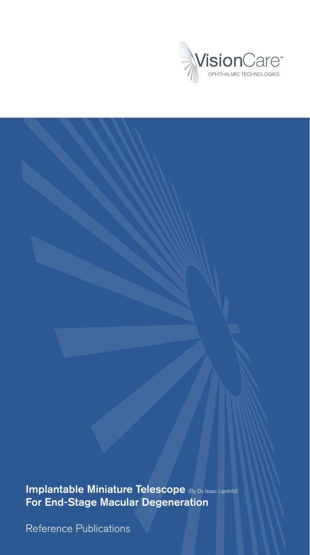

Implantable Miniature Telescope (By Dr. Isaac Lipshitz) For End-Stage Macular Degeneration

Reference Publications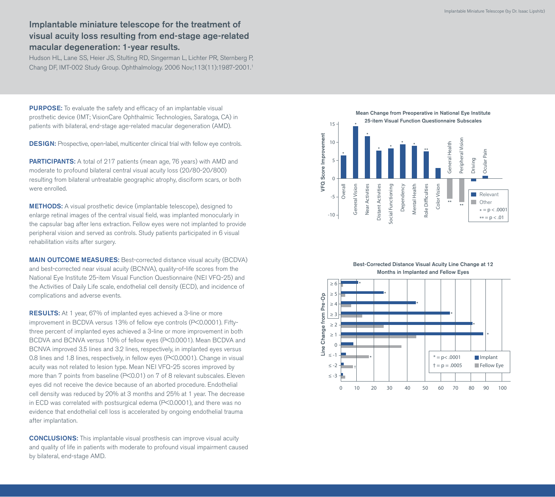## Implantable miniature telescope for the treatment of visual acuity loss resulting from end-stage age-related macular degeneration: 1-year results.

Hudson HL, Lane SS, Heier JS, Stulting RD, Singerman L, Lichter PR, Sternberg P, Chang DF, IMT-002 Study Group. Ophthalmology. 2006 Nov;113(11):1987-2001.1

PURPOSE: To evaluate the safety and efficacy of an implantable visual prosthetic device (IMT; VisionCare Ophthalmic Technologies, Saratoga, CA) in patients with bilateral, end-stage age-related macular degeneration (AMD).

DESIGN: Prospective, open-label, multicenter clinical trial with fellow eye controls.

**PARTICIPANTS:** A total of 217 patients (mean age, 76 years) with AMD and moderate to profound bilateral central visual acuity loss (20/80-20/800) resulting from bilateral untreatable geographic atrophy, disciform scars, or both were enrolled.

METHODS: A visual prosthetic device (implantable telescope), designed to enlarge retinal images of the central visual field, was implanted monocularly in the capsular bag after lens extraction. Fellow eyes were not implanted to provide peripheral vision and served as controls. Study patients participated in 6 visual rehabilitation visits after surgery.

MAIN OUTCOME MEASURES: Best-corrected distance visual acuity (BCDVA) and best-corrected near visual acuity (BCNVA), quality-of-life scores from the National Eye Institute 25-item Visual Function Questionnaire (NEI VFQ-25) and the Activities of Daily Life scale, endothelial cell density (ECD), and incidence of complications and adverse events.

RESULTS: At 1 year, 67% of implanted eyes achieved a 3-line or more improvement in BCDVA versus 13% of fellow eye controls (P<0.0001). Fiftythree percent of implanted eyes achieved a 3-line or more improvement in both BCDVA and BCNVA versus 10% of fellow eyes (P<0.0001). Mean BCDVA and BCNVA improved 3.5 lines and 3.2 lines, respectively, in implanted eyes versus 0.8 lines and 1.8 lines, respectively, in fellow eyes (P<0.0001). Change in visual acuity was not related to lesion type. Mean NEI VFQ-25 scores improved by more than 7 points from baseline (P<0.01) on 7 of 8 relevant subscales. Eleven eyes did not receive the device because of an aborted procedure. Endothelial cell density was reduced by 20% at 3 months and 25% at 1 year. The decrease in ECD was correlated with postsurgical edema (P<0.0001), and there was no evidence that endothelial cell loss is accelerated by ongoing endothelial trauma after implantation.

CONCLUSIONS: This implantable visual prosthesis can improve visual acuity and quality of life in patients with moderate to profound visual impairment caused by bilateral, end-stage AMD.





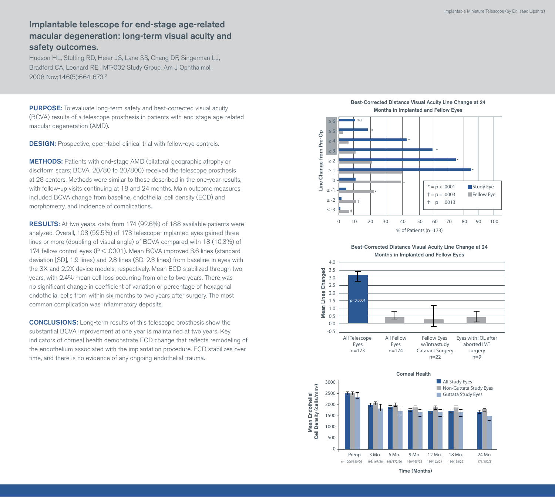## Implantable telescope for end-stage age-related macular degeneration: long-term visual acuity and safety outcomes.

Hudson HL, Stulting RD, Heier JS, Lane SS, Chang DF, Singerman LJ, Bradford CA, Leonard RE, IMT-002 Study Group. Am J Ophthalmol. 2008 Nov;146(5):664-673.2

PURPOSE: To evaluate long-term safety and best-corrected visual acuity (BCVA) results of a telescope prosthesis in patients with end-stage age-related macular degeneration (AMD).

**DESIGN:** Prospective, open-label clinical trial with fellow-eye controls.

METHODS: Patients with end-stage AMD (bilateral geographic atrophy or disciform scars; BCVA, 20/80 to 20/800) received the telescope prosthesis at 28 centers. Methods were similar to those described in the one-year results, with follow-up visits continuing at 18 and 24 months. Main outcome measures included BCVA change from baseline, endothelial cell density (ECD) and morphometry, and incidence of complications.

RESULTS: At two years, data from 174 (92.6%) of 188 available patients were analyzed. Overall, 103 (59.5%) of 173 telescope-implanted eyes gained three lines or more (doubling of visual angle) of BCVA compared with 18 (10.3%) of 174 fellow control eyes (P < .0001). Mean BCVA improved 3.6 lines (standard deviation [SD], 1.9 lines) and 2.8 lines (SD, 2.3 lines) from baseline in eyes with the 3X and 2.2X device models, respectively. Mean ECD stabilized through two years, with 2.4% mean cell loss occurring from one to two years. There was no significant change in coefficient of variation or percentage of hexagonal endothelial cells from within six months to two years after surgery. The most common complication was inflammatory deposits.

CONCLUSIONS: Long-term results of this telescope prosthesis show the substantial BCVA improvement at one year is maintained at two years. Key indicators of corneal health demonstrate ECD change that reflects remodeling of the endothelium associated with the implantation procedure. ECD stabilizes over time, and there is no evidence of any ongoing endothelial trauma.



Best-Corrected Distance Visual Acuity Line Change at 24 Months in Implanted and Fellow Eyes





Time (Months)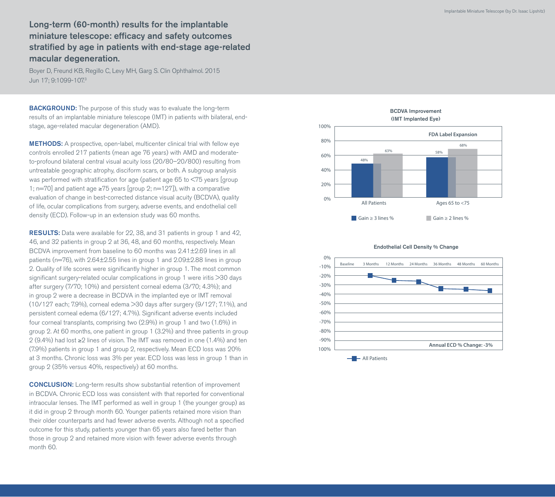Long-term (60-month) results for the implantable miniature telescope: efficacy and safety outcomes stratified by age in patients with end-stage age-related macular degeneration.

Boyer D, Freund KB, Regillo C, Levy MH, Garg S. Clin Ophthalmol. 2015 Jun 17; 9:1099-107.3

**BACKGROUND:** The purpose of this study was to evaluate the long-term results of an implantable miniature telescope (IMT) in patients with bilateral, endstage, age-related macular degeneration (AMD).

METHODS: A prospective, open-label, multicenter clinical trial with fellow eye controls enrolled 217 patients (mean age 76 years) with AMD and moderateto-profound bilateral central visual acuity loss (20/80–20/800) resulting from untreatable geographic atrophy, disciform scars, or both. A subgroup analysis was performed with stratification for age (patient age 65 to <75 years [group 1; n=70] and patient age ≥75 years [group 2; n=127]), with a comparative evaluation of change in best-corrected distance visual acuity (BCDVA), quality of life, ocular complications from surgery, adverse events, and endothelial cell density (ECD). Follow-up in an extension study was 60 months.

RESULTS: Data were available for 22, 38, and 31 patients in group 1 and 42, 46, and 32 patients in group 2 at 36, 48, and 60 months, respectively. Mean BCDVA improvement from baseline to 60 months was 2.41±2.69 lines in all patients (n=76), with 2.64±2.55 lines in group 1 and 2.09±2.88 lines in group 2. Quality of life scores were significantly higher in group 1. The most common significant surgery-related ocular complications in group 1 were iritis >30 days after surgery (7/70; 10%) and persistent corneal edema (3/70; 4.3%); and in group 2 were a decrease in BCDVA in the implanted eye or IMT removal (10/127 each; 7.9%), corneal edema >30 days after surgery (9/127; 7.1%), and persistent corneal edema (6/127; 4.7%). Significant adverse events included four corneal transplants, comprising two (2.9%) in group 1 and two (1.6%) in group 2. At 60 months, one patient in group 1 (3.2%) and three patients in group 2 (9.4%) had lost ≥2 lines of vision. The IMT was removed in one (1.4%) and ten (7.9%) patients in group 1 and group 2, respectively. Mean ECD loss was 20% at 3 months. Chronic loss was 3% per year. ECD loss was less in group 1 than in group 2 (35% versus 40%, respectively) at 60 months.

CONCLUSION: Long-term results show substantial retention of improvement in BCDVA. Chronic ECD loss was consistent with that reported for conventional intraocular lenses. The IMT performed as well in group 1 (the younger group) as it did in group 2 through month 60. Younger patients retained more vision than their older counterparts and had fewer adverse events. Although not a specified outcome for this study, patients younger than 65 years also fared better than those in group 2 and retained more vision with fewer adverse events through month 60.



Endothelial Cell Density % Change

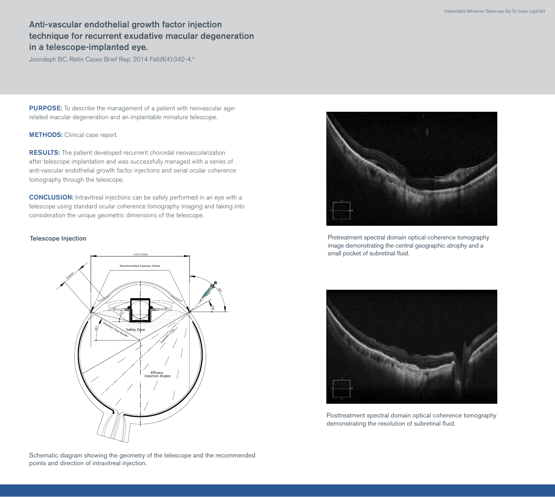# Anti-vascular endothelial growth factor injection technique for recurrent exudative macular degeneration in a telescope-implanted eye.

Joondeph BC. Retin Cases Brief Rep. 2014 Fall;8(4):342-4.4

PURPOSE: To describe the management of a patient with neovascular agerelated macular degeneration and an implantable miniature telescope.

METHODS: Clinical case report.

RESULTS: The patient developed recurrent choroidal neovascularization after telescope implantation and was successfully managed with a series of anti-vascular endothelial growth factor injections and serial ocular coherence tomography through the telescope.

CONCLUSION: Intravitreal injections can be safely performed in an eye with a telescope using standard ocular coherence tomography imaging and taking into consideration the unique geometric dimensions of the telescope.

### Telescope Injection



Pretreatment spectral domain optical coherence tomography image demonstrating the central geographic atrophy and a small pocket of subretinal fluid.



Posttreatment spectral domain optical coherence tomography demonstrating the resolution of subretinal fluid.

Schematic diagram showing the geometry of the telescope and the recommended points and direction of intravitreal injection.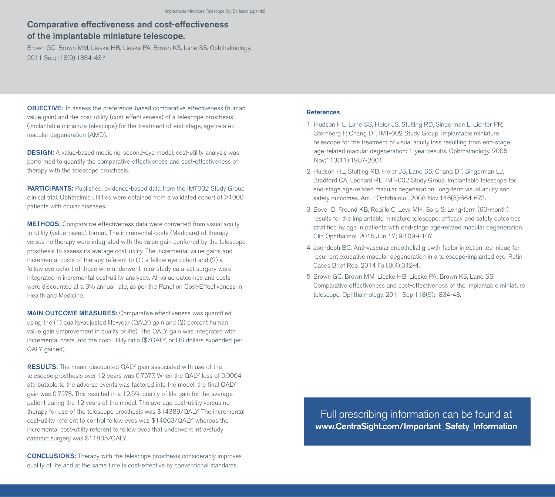## Comparative effectiveness and cost-effectiveness of the implantable miniature telescope.

Brown GC, Brown MM, Lieske HB, Lieske PA, Brown KS, Lane SS. Ophthalmology. 2011 Sep;118(9):1834-43.5

**OBJECTIVE:** To assess the preference-based comparative effectiveness (human value gain) and the cost-utility (cost-effectiveness) of a telescope prosthesis (implantable miniature telescope) for the treatment of end-stage, age-related macular degeneration (AMD).

DESIGN: A value-based medicine, second-eye model, cost-utility analysis was performed to quantify the comparative effectiveness and cost-effectiveness of therapy with the telescope prosthesis.

PARTICIPANTS: Published, evidence-based data from the IMT002 Study Group clinical trial. Ophthalmic utilities were obtained from a validated cohort of >1000 patients with ocular diseases.

METHODS: Comparative effectiveness data were converted from visual acuity to utility (value-based) format. The incremental costs (Medicare) of therapy versus no therapy were integrated with the value gain conferred by the telescope prosthesis to assess its average cost-utility. The incremental value gains and incremental costs of therapy referent to (1) a fellow eye cohort and (2) a fellow eye cohort of those who underwent intra-study cataract surgery were integrated in incremental cost-utility analyses. All value outcomes and costs were discounted at a 3% annual rate, as per the Panel on Cost-Effectiveness in Health and Medicine.

MAIN OUTCOME MEASURES: Comparative effectiveness was quantified using the (1) quality-adjusted life-year (QALY) gain and (2) percent human value gain (improvement in quality of life). The QALY gain was integrated with incremental costs into the cost-utility ratio (\$/QALY, or US dollars expended per QALY gained).

**RESULTS:** The mean, discounted QALY gain associated with use of the telescope prosthesis over 12 years was 0.7577. When the QALY loss of 0.0004 attributable to the adverse events was factored into the model, the final QALY gain was 0.7573. This resulted in a 12.5% quality of life gain for the average patient during the 12 years of the model. The average cost-utility versus no therapy for use of the telescope prosthesis was \$14389/QALY. The incremental cost-utility referent to control fellow eyes was \$14063/QALY, whereas the incremental cost-utility referent to fellow eyes that underwent intra-study cataract surgery was \$11805/QALY.

CONCLUSIONS: Therapy with the telescope prosthesis considerably improves quality of life and at the same time is cost-effective by conventional standards.

### **References**

- 1. Hudson HL, Lane SS, Heier JS, Stulting RD, Singerman L, Lichter PR, Sternberg P, Chang DF, IMT-002 Study Group. Implantable miniature telescope for the treatment of visual acuity loss resulting from end-stage age-related macular degeneration: 1-year results. Ophthalmology. 2006 Nov;113(11):1987-2001.
- 2. Hudson HL, Stulting RD, Heier JS, Lane SS, Chang DF, Singerman LJ, Bradford CA, Leonard RE, IMT-002 Study Group. Implantable telescope for end-stage age-related macular degeneration: long-term visual acuity and safety outcomes. Am J Ophthalmol. 2008 Nov;146(5):664-673.
- 3. Boyer D, Freund KB, Regillo C, Levy MH, Garg S. Long-term (60-month) results for the implantable miniature telescope: efficacy and safety outcomes stratified by age in patients with end-stage age-related macular degeneration. Clin Ophthalmol. 2015 Jun 17; 9:1099-107.
- 4. Joondeph BC. Anti-vascular endothelial growth factor injection technique for recurrent exudative macular degeneration in a telescope-implanted eye. Retin Cases Brief Rep. 2014 Fall;8(4):342-4.
- 5. Brown GC, Brown MM, Lieske HB, Lieske PA, Brown KS, Lane SS. Comparative effectiveness and cost-effectiveness of the implantable miniature telescope. Ophthalmology. 2011 Sep;118(9):1834-43.

Full prescribing information can be found at www.CentraSight.com/Important\_Safety\_Information